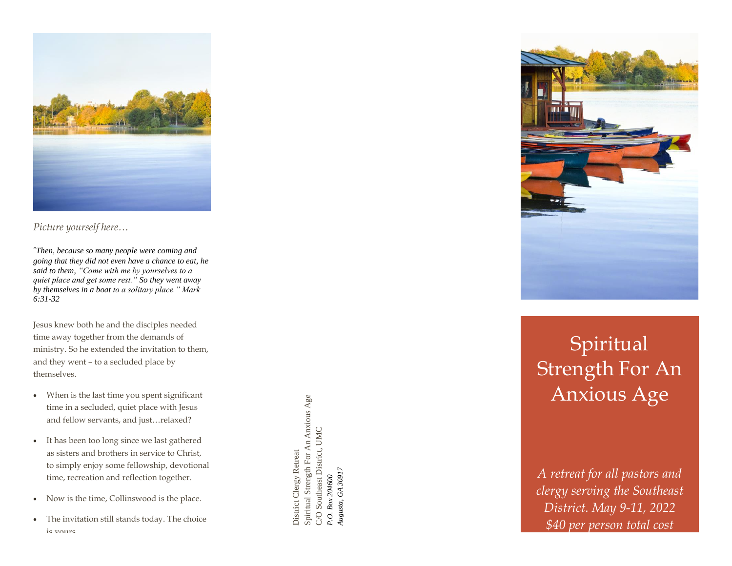

*Picture yourself here…*

*"Then, because so many people were coming and going that they did not even have a chance to eat, he said to them, "Come with me by yourselves to a quiet place and get some rest." So they went away by themselves in a boat to a solitary place." Mark 6:31 -32*

Jesus knew both he and the disciples needed time away together from the demands of ministry . So he extended the invitation to them, and they went – to a secluded place by themselves.

- When is the last time you spent significant time in a secluded, quiet place with Jesus and fellow servants, and just…relaxed ?
- It has been too long since we last gathered as sisters and brothers in service to Christ, to simply enjoy some fellowship, devotional time, recreation and reflection together.
- Now is the time, Collinswood is the place.
- The invitation still stands today. The choice ie voure

Spiritual Strength For An Anxious Age Spiritual Strength For An Anxious Age C/O Southeast District, UMC<br>P.O. Box 204600<br>Augusta, GA 30917 C/O Southeast District, UMC District Clergy Retreat District Clergy Retreat *Augusta, GA 30917P.O. Box 204600*



## Spiritual Strength For An Anxious Age

*A retreat for all pastors and clergy serving the Southeast District. May 9 -11, 2022 \$40 per person total cost*